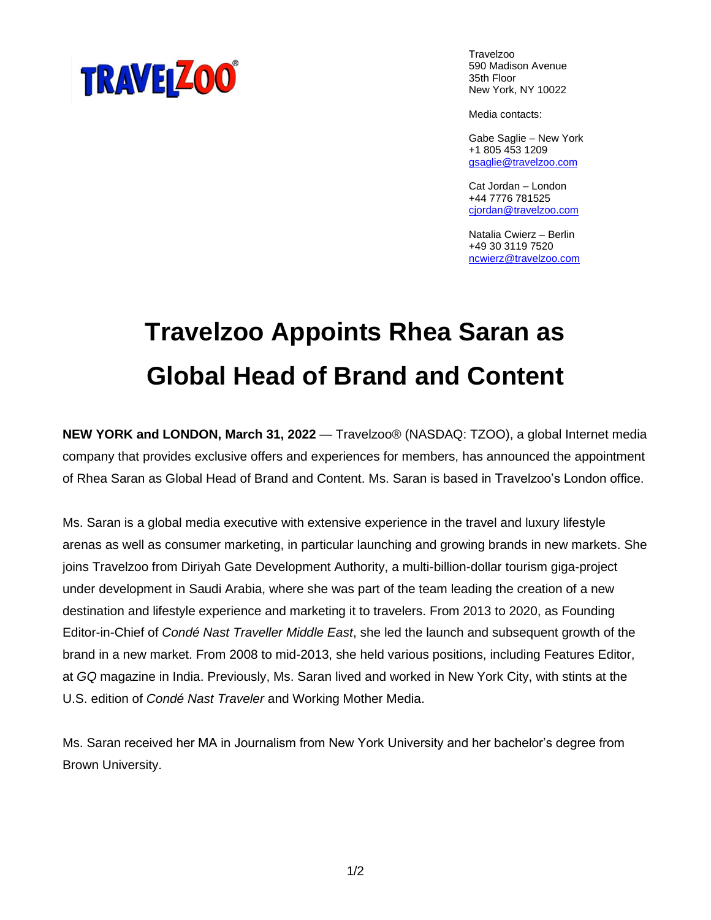

Travelzoo 590 Madison Avenue 35th Floor New York, NY 10022

Media contacts:

Gabe Saglie – New York +1 805 453 1209 [gsaglie@travelzoo.com](mailto:gsaglie@travelzoo.com)

Cat Jordan – London +44 7776 781525 [cjordan@travelzoo.com](mailto:cjordan@travelzoo.com)

Natalia Cwierz – Berlin +49 30 3119 7520 [ncwierz@travelzoo.com](https://travelzoo-my.sharepoint.com/personal/cjordan_travelzoo_com/Documents/Desktop/Consumer%20PR/ncwierz@travelzoo.com)

## **Travelzoo Appoints Rhea Saran as Global Head of Brand and Content**

**NEW YORK and LONDON, March 31, 2022** — Travelzoo® (NASDAQ: TZOO), a global Internet media company that provides exclusive offers and experiences for members, has announced the appointment of Rhea Saran as Global Head of Brand and Content. Ms. Saran is based in Travelzoo's London office.

Ms. Saran is a global media executive with extensive experience in the travel and luxury lifestyle arenas as well as consumer marketing, in particular launching and growing brands in new markets. She joins Travelzoo from Diriyah Gate Development Authority, a multi-billion-dollar tourism giga-project under development in Saudi Arabia, where she was part of the team leading the creation of a new destination and lifestyle experience and marketing it to travelers. From 2013 to 2020, as Founding Editor-in-Chief of *Condé Nast Traveller Middle East*, she led the launch and subsequent growth of the brand in a new market. From 2008 to mid-2013, she held various positions, including Features Editor, at *GQ* magazine in India. Previously, Ms. Saran lived and worked in New York City, with stints at the U.S. edition of *Condé Nast Traveler* and Working Mother Media.

Ms. Saran received her MA in Journalism from New York University and her bachelor's degree from Brown University.